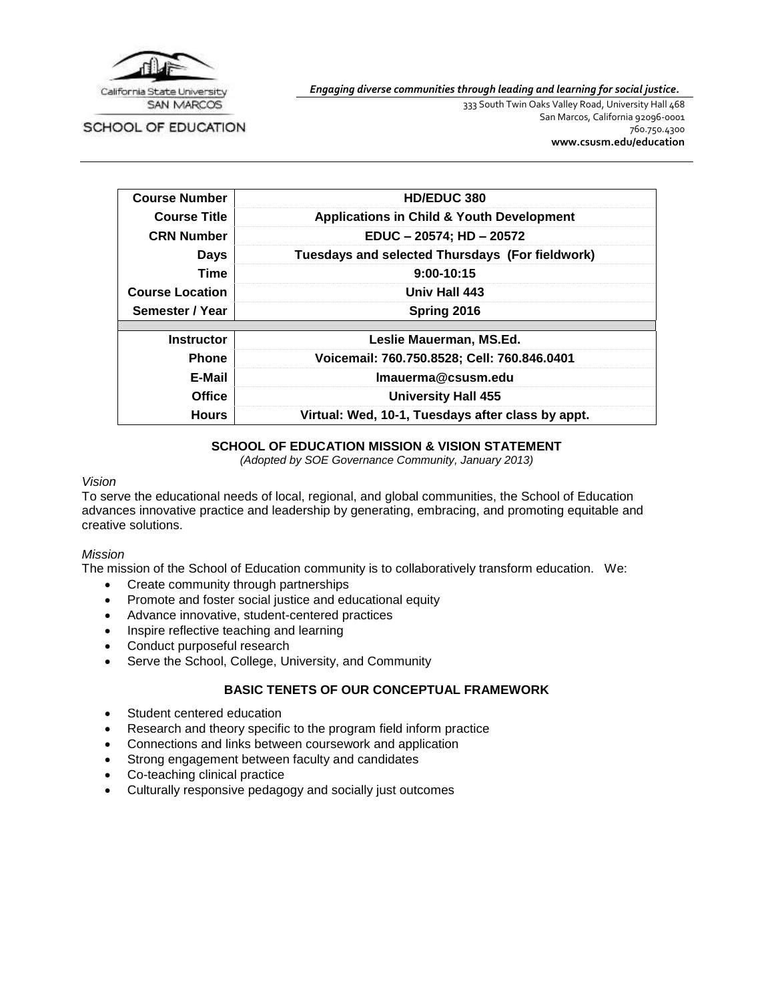

*Engaging diverse communities through leading and learning for social justice.*

SCHOOL OF EDUCATION

333 South Twin Oaks Valley Road, University Hall 468 San Marcos, California 92096-0001 760.750.4300 **[www.csusm.edu/education](http://www.csusm.edu/education)**

| <b>Course Number</b>   | HD/EDUC 380                                          |  |  |  |
|------------------------|------------------------------------------------------|--|--|--|
| <b>Course Title</b>    | <b>Applications in Child &amp; Youth Development</b> |  |  |  |
| <b>CRN Number</b>      | EDUC - 20574; HD - 20572                             |  |  |  |
| <b>Days</b>            | Tuesdays and selected Thursdays (For fieldwork)      |  |  |  |
| Time                   | $9:00-10:15$                                         |  |  |  |
| <b>Course Location</b> | Univ Hall 443                                        |  |  |  |
| Semester / Year        | Spring 2016                                          |  |  |  |
|                        |                                                      |  |  |  |
| <b>Instructor</b>      | Leslie Mauerman, MS.Ed.                              |  |  |  |
| <b>Phone</b>           | Voicemail: 760.750.8528; Cell: 760.846.0401          |  |  |  |
| E-Mail                 | Imauerma@csusm.edu                                   |  |  |  |
| <b>Office</b>          | <b>University Hall 455</b>                           |  |  |  |
| <b>Hours</b>           | Virtual: Wed, 10-1, Tuesdays after class by appt.    |  |  |  |

### **SCHOOL OF EDUCATION MISSION & VISION STATEMENT**

*(Adopted by SOE Governance Community, January 2013)*

#### *Vision*

To serve the educational needs of local, regional, and global communities, the School of Education advances innovative practice and leadership by generating, embracing, and promoting equitable and creative solutions.

#### *Mission*

The mission of the School of Education community is to collaboratively transform education. We:

- Create community through partnerships
- Promote and foster social justice and educational equity
- Advance innovative, student-centered practices
- Inspire reflective teaching and learning
- Conduct purposeful research
- Serve the School, College, University, and Community

## **BASIC TENETS OF OUR CONCEPTUAL FRAMEWORK**

- Student centered education
- Research and theory specific to the program field inform practice
- Connections and links between coursework and application
- Strong engagement between faculty and candidates
- Co-teaching clinical practice
- Culturally responsive pedagogy and socially just outcomes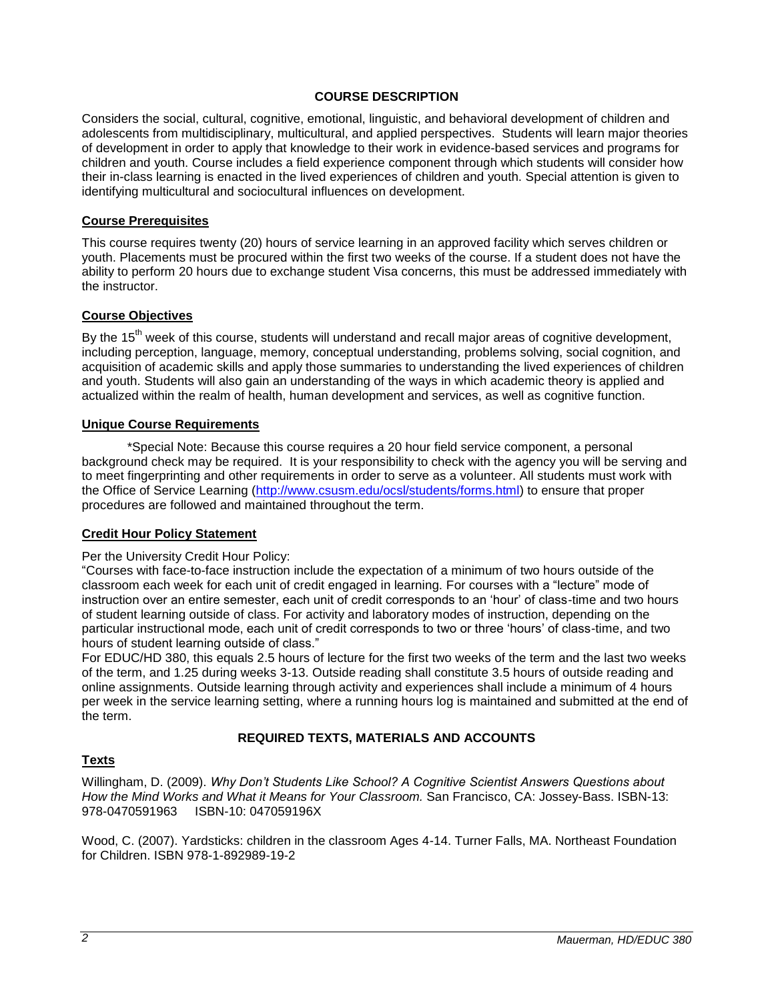## **COURSE DESCRIPTION**

Considers the social, cultural, cognitive, emotional, linguistic, and behavioral development of children and adolescents from multidisciplinary, multicultural, and applied perspectives. Students will learn major theories of development in order to apply that knowledge to their work in evidence-based services and programs for children and youth. Course includes a field experience component through which students will consider how their in-class learning is enacted in the lived experiences of children and youth. Special attention is given to identifying multicultural and sociocultural influences on development.

#### **Course Prerequisites**

This course requires twenty (20) hours of service learning in an approved facility which serves children or youth. Placements must be procured within the first two weeks of the course. If a student does not have the ability to perform 20 hours due to exchange student Visa concerns, this must be addressed immediately with the instructor.

#### **Course Objectives**

By the 15<sup>th</sup> week of this course, students will understand and recall major areas of cognitive development, including perception, language, memory, conceptual understanding, problems solving, social cognition, and acquisition of academic skills and apply those summaries to understanding the lived experiences of children and youth. Students will also gain an understanding of the ways in which academic theory is applied and actualized within the realm of health, human development and services, as well as cognitive function.

#### **Unique Course Requirements**

\*Special Note: Because this course requires a 20 hour field service component, a personal background check may be required. It is your responsibility to check with the agency you will be serving and to meet fingerprinting and other requirements in order to serve as a volunteer. All students must work with the Office of Service Learning [\(http://www.csusm.edu/ocsl/students/forms.html\)](http://www.csusm.edu/ocsl/students/forms.html) to ensure that proper procedures are followed and maintained throughout the term.

#### **Credit Hour Policy Statement**

#### Per the University Credit Hour Policy:

"Courses with face-to-face instruction include the expectation of a minimum of two hours outside of the classroom each week for each unit of credit engaged in learning. For courses with a "lecture" mode of instruction over an entire semester, each unit of credit corresponds to an 'hour' of class-time and two hours of student learning outside of class. For activity and laboratory modes of instruction, depending on the particular instructional mode, each unit of credit corresponds to two or three 'hours' of class-time, and two hours of student learning outside of class."

For EDUC/HD 380, this equals 2.5 hours of lecture for the first two weeks of the term and the last two weeks of the term, and 1.25 during weeks 3-13. Outside reading shall constitute 3.5 hours of outside reading and online assignments. Outside learning through activity and experiences shall include a minimum of 4 hours per week in the service learning setting, where a running hours log is maintained and submitted at the end of the term.

#### **REQUIRED TEXTS, MATERIALS AND ACCOUNTS**

#### **Texts**

Willingham, D. (2009). *Why Don't Students Like School? A Cognitive Scientist Answers Questions about How the Mind Works and What it Means for Your Classroom.* San Francisco, CA: Jossey-Bass. ISBN-13: 978-0470591963 ISBN-10: 047059196X

Wood, C. (2007). Yardsticks: children in the classroom Ages 4-14. Turner Falls, MA. Northeast Foundation for Children. ISBN 978-1-892989-19-2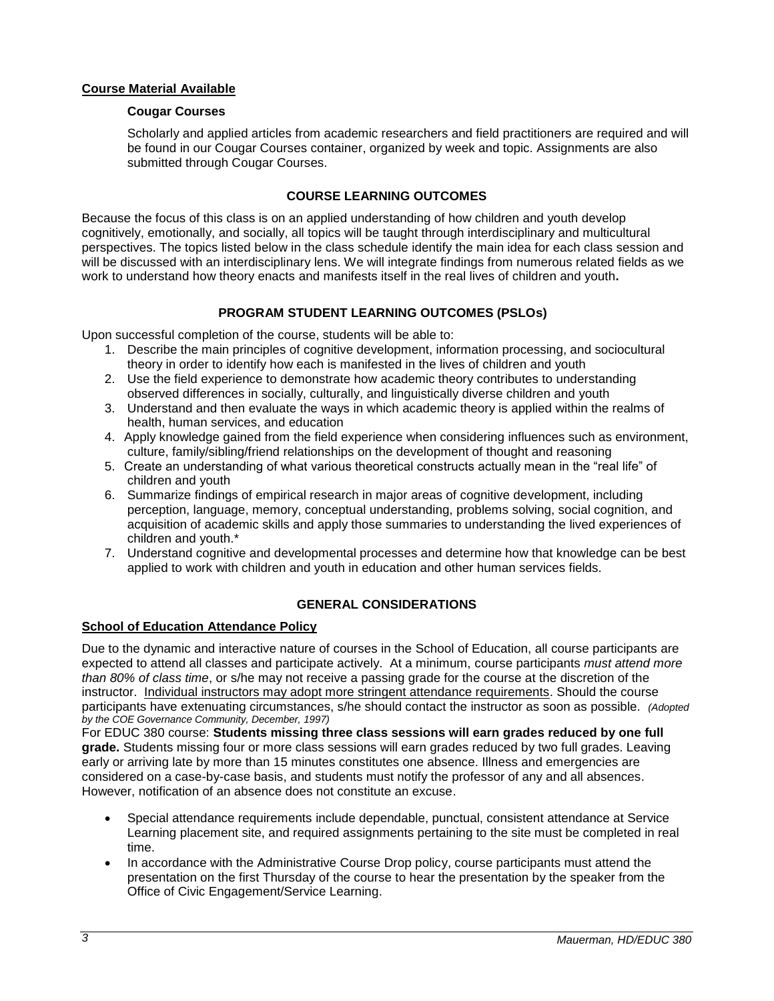# **Course Material Available**

## **Cougar Courses**

Scholarly and applied articles from academic researchers and field practitioners are required and will be found in our Cougar Courses container, organized by week and topic. Assignments are also submitted through Cougar Courses.

# **COURSE LEARNING OUTCOMES**

Because the focus of this class is on an applied understanding of how children and youth develop cognitively, emotionally, and socially, all topics will be taught through interdisciplinary and multicultural perspectives. The topics listed below in the class schedule identify the main idea for each class session and will be discussed with an interdisciplinary lens. We will integrate findings from numerous related fields as we work to understand how theory enacts and manifests itself in the real lives of children and youth**.**

# **PROGRAM STUDENT LEARNING OUTCOMES (PSLOs)**

Upon successful completion of the course, students will be able to:

- 1. Describe the main principles of cognitive development, information processing, and sociocultural theory in order to identify how each is manifested in the lives of children and youth
- 2. Use the field experience to demonstrate how academic theory contributes to understanding observed differences in socially, culturally, and linguistically diverse children and youth
- 3. Understand and then evaluate the ways in which academic theory is applied within the realms of health, human services, and education
- 4. Apply knowledge gained from the field experience when considering influences such as environment, culture, family/sibling/friend relationships on the development of thought and reasoning
- 5. Create an understanding of what various theoretical constructs actually mean in the "real life" of children and youth
- 6. Summarize findings of empirical research in major areas of cognitive development, including perception, language, memory, conceptual understanding, problems solving, social cognition, and acquisition of academic skills and apply those summaries to understanding the lived experiences of children and youth.\*
- 7. Understand cognitive and developmental processes and determine how that knowledge can be best applied to work with children and youth in education and other human services fields.

# **GENERAL CONSIDERATIONS**

## **School of Education Attendance Policy**

Due to the dynamic and interactive nature of courses in the School of Education, all course participants are expected to attend all classes and participate actively. At a minimum, course participants *must attend more than 80% of class time*, or s/he may not receive a passing grade for the course at the discretion of the instructor. Individual instructors may adopt more stringent attendance requirements. Should the course participants have extenuating circumstances, s/he should contact the instructor as soon as possible. *(Adopted by the COE Governance Community, December, 1997)*

For EDUC 380 course: **Students missing three class sessions will earn grades reduced by one full grade.** Students missing four or more class sessions will earn grades reduced by two full grades. Leaving early or arriving late by more than 15 minutes constitutes one absence. Illness and emergencies are considered on a case-by-case basis, and students must notify the professor of any and all absences. However, notification of an absence does not constitute an excuse.

- Special attendance requirements include dependable, punctual, consistent attendance at Service Learning placement site, and required assignments pertaining to the site must be completed in real time.
- In accordance with the Administrative Course Drop policy, course participants must attend the presentation on the first Thursday of the course to hear the presentation by the speaker from the Office of Civic Engagement/Service Learning.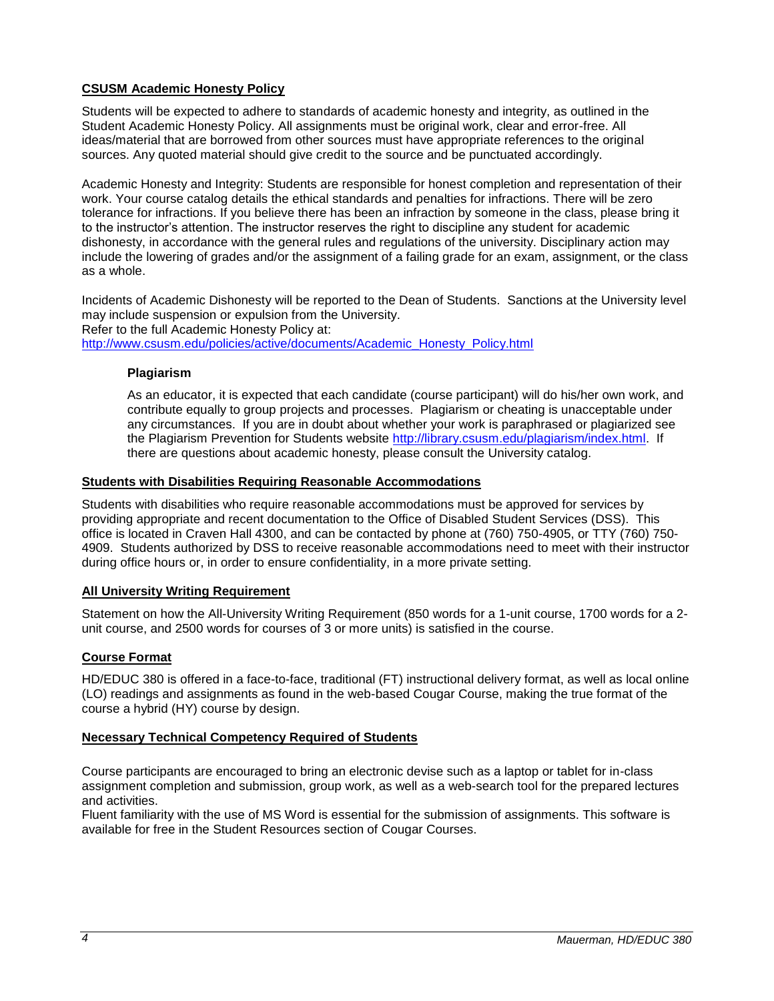# **CSUSM Academic Honesty Policy**

Students will be expected to adhere to standards of academic honesty and integrity, as outlined in the Student Academic Honesty Policy. All assignments must be original work, clear and error-free. All ideas/material that are borrowed from other sources must have appropriate references to the original sources. Any quoted material should give credit to the source and be punctuated accordingly.

Academic Honesty and Integrity: Students are responsible for honest completion and representation of their work. Your course catalog details the ethical standards and penalties for infractions. There will be zero tolerance for infractions. If you believe there has been an infraction by someone in the class, please bring it to the instructor's attention. The instructor reserves the right to discipline any student for academic dishonesty, in accordance with the general rules and regulations of the university. Disciplinary action may include the lowering of grades and/or the assignment of a failing grade for an exam, assignment, or the class as a whole.

Incidents of Academic Dishonesty will be reported to the Dean of Students. Sanctions at the University level may include suspension or expulsion from the University. Refer to the full Academic Honesty Policy at: [http://www.csusm.edu/policies/active/documents/Academic\\_Honesty\\_Policy.html](http://www.csusm.edu/policies/active/documents/Academic_Honesty_Policy.html)

### **Plagiarism**

As an educator, it is expected that each candidate (course participant) will do his/her own work, and contribute equally to group projects and processes. Plagiarism or cheating is unacceptable under any circumstances. If you are in doubt about whether your work is paraphrased or plagiarized see the Plagiarism Prevention for Students website [http://library.csusm.edu/plagiarism/index.html.](http://library.csusm.edu/plagiarism/index.html) If there are questions about academic honesty, please consult the University catalog.

### **Students with Disabilities Requiring Reasonable Accommodations**

Students with disabilities who require reasonable accommodations must be approved for services by providing appropriate and recent documentation to the Office of Disabled Student Services (DSS). This office is located in Craven Hall 4300, and can be contacted by phone at (760) 750-4905, or TTY (760) 750- 4909. Students authorized by DSS to receive reasonable accommodations need to meet with their instructor during office hours or, in order to ensure confidentiality, in a more private setting.

## **All University Writing Requirement**

Statement on how the All-University Writing Requirement (850 words for a 1-unit course, 1700 words for a 2 unit course, and 2500 words for courses of 3 or more units) is satisfied in the course.

## **Course Format**

HD/EDUC 380 is offered in a face-to-face, traditional (FT) instructional delivery format, as well as local online (LO) readings and assignments as found in the web-based Cougar Course, making the true format of the course a hybrid (HY) course by design.

## **Necessary Technical Competency Required of Students**

Course participants are encouraged to bring an electronic devise such as a laptop or tablet for in-class assignment completion and submission, group work, as well as a web-search tool for the prepared lectures and activities.

Fluent familiarity with the use of MS Word is essential for the submission of assignments. This software is available for free in the Student Resources section of Cougar Courses.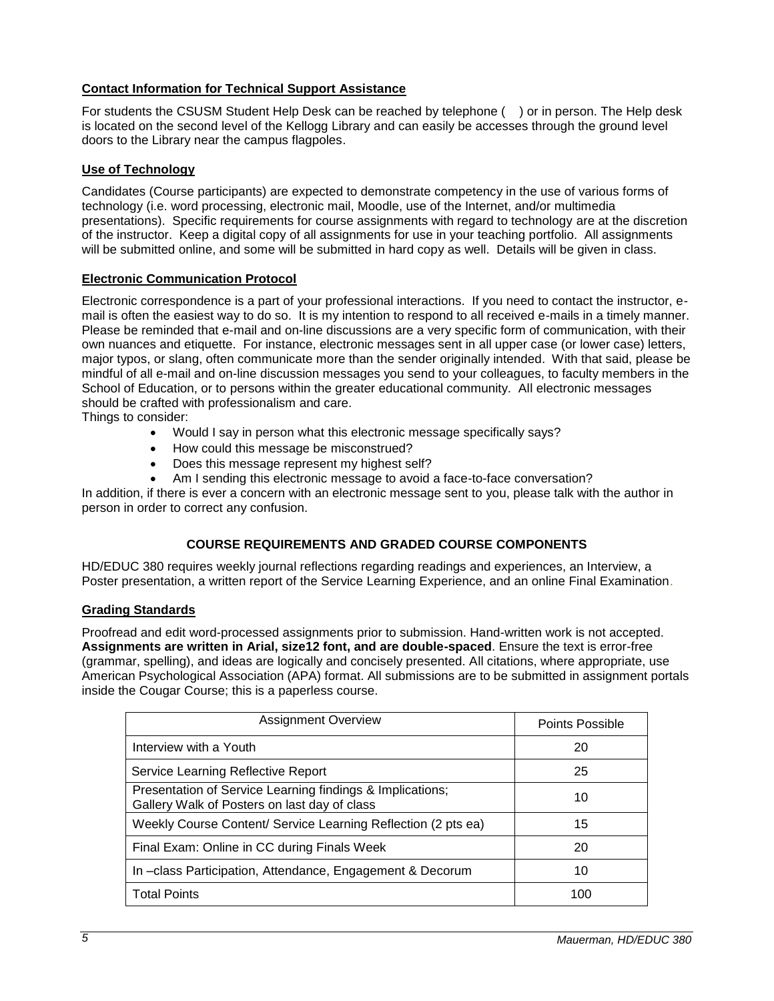# **Contact Information for Technical Support Assistance**

For students the CSUSM Student Help Desk can be reached by telephone ( ) or in person. The Help desk is located on the second level of the Kellogg Library and can easily be accesses through the ground level doors to the Library near the campus flagpoles.

## **Use of Technology**

Candidates (Course participants) are expected to demonstrate competency in the use of various forms of technology (i.e. word processing, electronic mail, Moodle, use of the Internet, and/or multimedia presentations). Specific requirements for course assignments with regard to technology are at the discretion of the instructor. Keep a digital copy of all assignments for use in your teaching portfolio. All assignments will be submitted online, and some will be submitted in hard copy as well. Details will be given in class.

### **Electronic Communication Protocol**

Electronic correspondence is a part of your professional interactions. If you need to contact the instructor, email is often the easiest way to do so. It is my intention to respond to all received e-mails in a timely manner. Please be reminded that e-mail and on-line discussions are a very specific form of communication, with their own nuances and etiquette. For instance, electronic messages sent in all upper case (or lower case) letters, major typos, or slang, often communicate more than the sender originally intended. With that said, please be mindful of all e-mail and on-line discussion messages you send to your colleagues, to faculty members in the School of Education, or to persons within the greater educational community. All electronic messages should be crafted with professionalism and care.

Things to consider:

- Would I say in person what this electronic message specifically says?
- How could this message be misconstrued?
- Does this message represent my highest self?
- Am I sending this electronic message to avoid a face-to-face conversation?

In addition, if there is ever a concern with an electronic message sent to you, please talk with the author in person in order to correct any confusion.

## **COURSE REQUIREMENTS AND GRADED COURSE COMPONENTS**

HD/EDUC 380 requires weekly journal reflections regarding readings and experiences, an Interview, a Poster presentation, a written report of the Service Learning Experience, and an online Final Examination.

#### **Grading Standards**

Proofread and edit word-processed assignments prior to submission. Hand-written work is not accepted. **Assignments are written in Arial, size12 font, and are double-spaced**. Ensure the text is error-free (grammar, spelling), and ideas are logically and concisely presented. All citations, where appropriate, use American Psychological Association (APA) format. All submissions are to be submitted in assignment portals inside the Cougar Course; this is a paperless course.

| <b>Assignment Overview</b>                                                                                | Points Possible |
|-----------------------------------------------------------------------------------------------------------|-----------------|
| Interview with a Youth                                                                                    | 20              |
| Service Learning Reflective Report                                                                        | 25              |
| Presentation of Service Learning findings & Implications;<br>Gallery Walk of Posters on last day of class | 10              |
| Weekly Course Content/ Service Learning Reflection (2 pts ea)                                             | 15              |
| Final Exam: Online in CC during Finals Week                                                               | 20              |
| In -class Participation, Attendance, Engagement & Decorum                                                 | 10              |
| <b>Total Points</b>                                                                                       | 100             |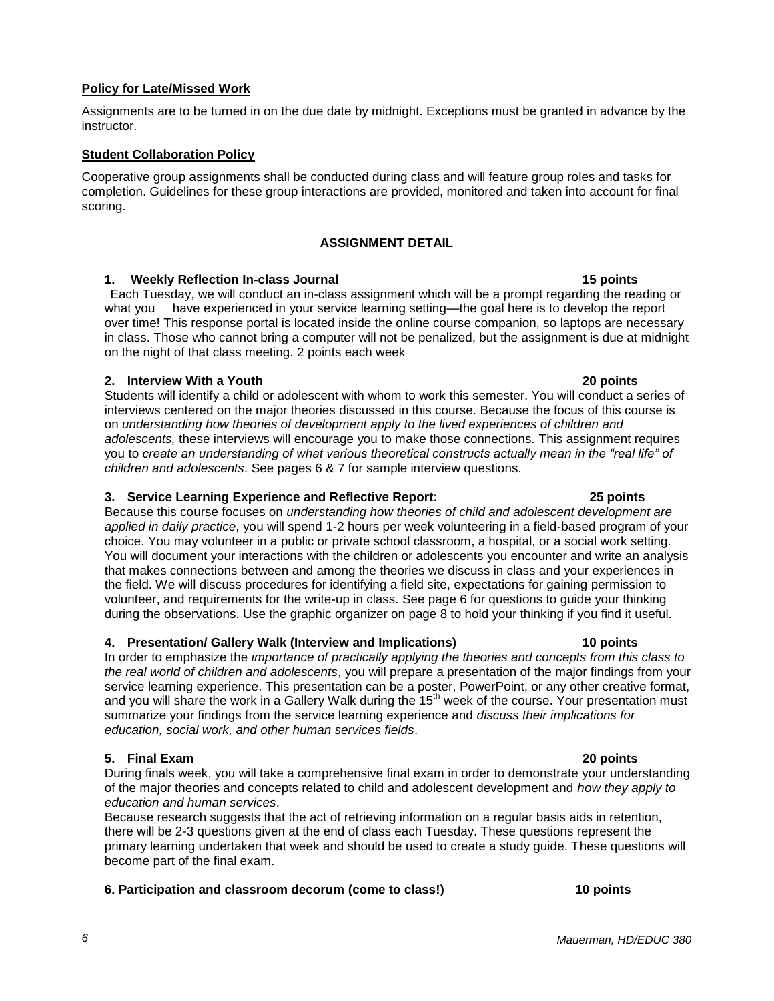# **Policy for Late/Missed Work**

### Assignments are to be turned in on the due date by midnight. Exceptions must be granted in advance by the instructor.

# **Student Collaboration Policy**

Cooperative group assignments shall be conducted during class and will feature group roles and tasks for completion. Guidelines for these group interactions are provided, monitored and taken into account for final scoring.

## **ASSIGNMENT DETAIL**

## **1. Weekly Reflection In-class Journal 15 points**

Each Tuesday, we will conduct an in-class assignment which will be a prompt regarding the reading or what you have experienced in your service learning setting—the goal here is to develop the report over time! This response portal is located inside the online course companion, so laptops are necessary in class. Those who cannot bring a computer will not be penalized, but the assignment is due at midnight on the night of that class meeting. 2 points each week

# **2. Interview With a Youth 20 points**

Students will identify a child or adolescent with whom to work this semester. You will conduct a series of interviews centered on the major theories discussed in this course. Because the focus of this course is on *understanding how theories of development apply to the lived experiences of children and adolescents,* these interviews will encourage you to make those connections*.* This assignment requires you to *create an understanding of what various theoretical constructs actually mean in the "real life" of children and adolescents*. See pages 6 & 7 for sample interview questions.

## **3. Service Learning Experience and Reflective Report: 25 points**

Because this course focuses on *understanding how theories of child and adolescent development are applied in daily practice*, you will spend 1-2 hours per week volunteering in a field-based program of your choice. You may volunteer in a public or private school classroom, a hospital, or a social work setting. You will document your interactions with the children or adolescents you encounter and write an analysis that makes connections between and among the theories we discuss in class and your experiences in the field. We will discuss procedures for identifying a field site, expectations for gaining permission to volunteer, and requirements for the write-up in class. See page 6 for questions to guide your thinking during the observations. Use the graphic organizer on page 8 to hold your thinking if you find it useful.

# **4. Presentation/ Gallery Walk (Interview and Implications) 10 points**

In order to emphasize the *importance of practically applying the theories and concepts from this class to the real world of children and adolescents*, you will prepare a presentation of the major findings from your service learning experience. This presentation can be a poster, PowerPoint, or any other creative format, and you will share the work in a Gallery Walk during the 15<sup>th</sup> week of the course. Your presentation must summarize your findings from the service learning experience and *discuss their implications for education, social work, and other human services fields*.

# **5. Final Exam 20 points**

During finals week, you will take a comprehensive final exam in order to demonstrate your understanding of the major theories and concepts related to child and adolescent development and *how they apply to education and human services*.

Because research suggests that the act of retrieving information on a regular basis aids in retention, there will be 2-3 questions given at the end of class each Tuesday. These questions represent the primary learning undertaken that week and should be used to create a study guide. These questions will become part of the final exam.

# **6. Participation and classroom decorum (come to class!) 10 points**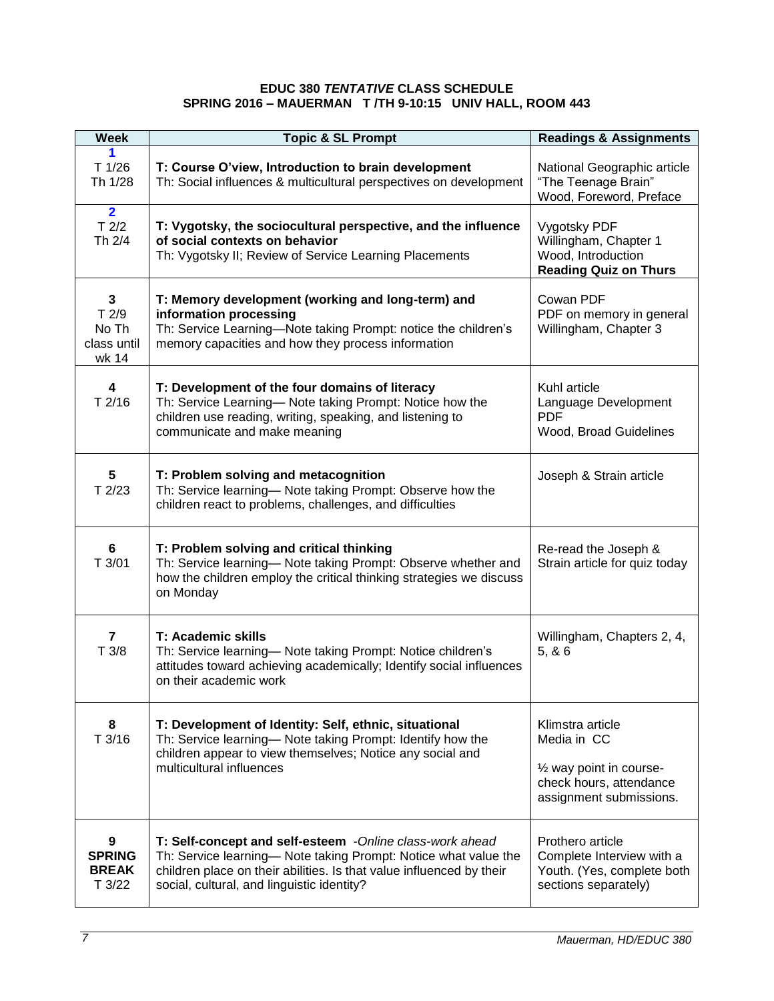#### **EDUC 380** *TENTATIVE* **CLASS SCHEDULE SPRING 2016 – MAUERMAN T /TH 9-10:15 UNIV HALL, ROOM 443**

| <b>Week</b>                                           | <b>Topic &amp; SL Prompt</b>                                                                                                                                                                                                                      | <b>Readings &amp; Assignments</b>                                                                                 |
|-------------------------------------------------------|---------------------------------------------------------------------------------------------------------------------------------------------------------------------------------------------------------------------------------------------------|-------------------------------------------------------------------------------------------------------------------|
| T 1/26<br>Th 1/28                                     | T: Course O'view, Introduction to brain development<br>Th: Social influences & multicultural perspectives on development                                                                                                                          | National Geographic article<br>"The Teenage Brain"<br>Wood, Foreword, Preface                                     |
| $\overline{2}$<br>$T$ 2/2<br>Th 2/4                   | T: Vygotsky, the sociocultural perspective, and the influence<br>of social contexts on behavior<br>Th: Vygotsky II; Review of Service Learning Placements                                                                                         | Vygotsky PDF<br>Willingham, Chapter 1<br>Wood, Introduction<br><b>Reading Quiz on Thurs</b>                       |
| $\mathbf{3}$<br>T2/9<br>No Th<br>class until<br>wk 14 | T: Memory development (working and long-term) and<br>information processing<br>Th: Service Learning-Note taking Prompt: notice the children's<br>memory capacities and how they process information                                               | Cowan PDF<br>PDF on memory in general<br>Willingham, Chapter 3                                                    |
| 4<br>T2/16                                            | T: Development of the four domains of literacy<br>Th: Service Learning- Note taking Prompt: Notice how the<br>children use reading, writing, speaking, and listening to<br>communicate and make meaning                                           | Kuhl article<br>Language Development<br><b>PDF</b><br>Wood, Broad Guidelines                                      |
| 5<br>T2/23                                            | T: Problem solving and metacognition<br>Th: Service learning- Note taking Prompt: Observe how the<br>children react to problems, challenges, and difficulties                                                                                     | Joseph & Strain article                                                                                           |
| 6<br>T3/01                                            | T: Problem solving and critical thinking<br>Th: Service learning- Note taking Prompt: Observe whether and<br>how the children employ the critical thinking strategies we discuss<br>on Monday                                                     | Re-read the Joseph &<br>Strain article for quiz today                                                             |
| $\overline{\mathbf{r}}$<br>T3/8                       | T: Academic skills<br>Th: Service learning- Note taking Prompt: Notice children's<br>attitudes toward achieving academically; Identify social influences<br>on their academic work                                                                | Willingham, Chapters 2, 4,<br>5.86                                                                                |
| 8<br>T3/16                                            | T: Development of Identity: Self, ethnic, situational<br>Th: Service learning- Note taking Prompt: Identify how the<br>children appear to view themselves; Notice any social and<br>multicultural influences                                      | Klimstra article<br>Media in CC<br>1/2 way point in course-<br>check hours, attendance<br>assignment submissions. |
| 9<br><b>SPRING</b><br><b>BREAK</b><br>T3/22           | T: Self-concept and self-esteem -Online class-work ahead<br>Th: Service learning- Note taking Prompt: Notice what value the<br>children place on their abilities. Is that value influenced by their<br>social, cultural, and linguistic identity? | Prothero article<br>Complete Interview with a<br>Youth. (Yes, complete both<br>sections separately)               |